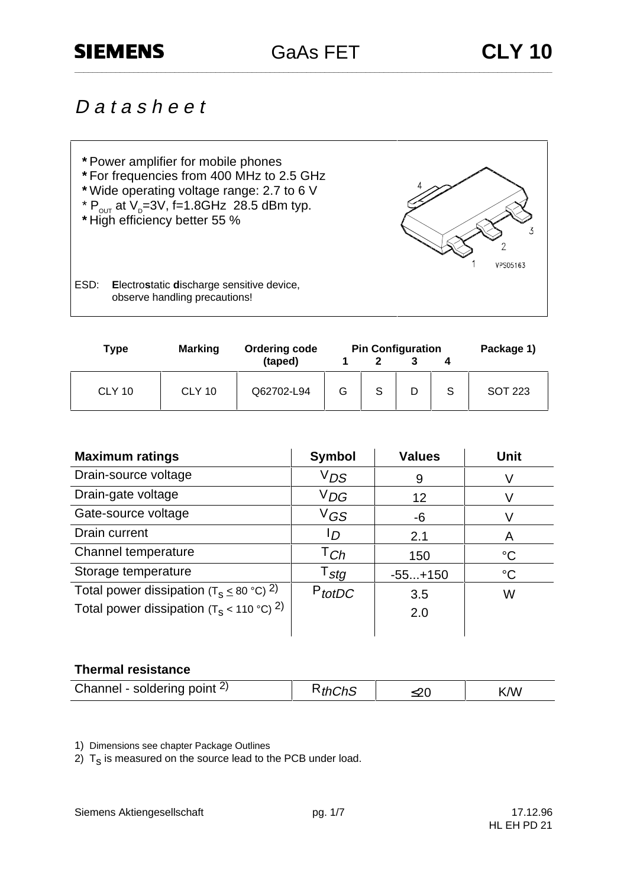# **SIEMENS**

GaAs FET **CLY 10 \_\_\_\_\_\_\_\_\_\_\_\_\_\_\_\_\_\_\_\_\_\_\_\_\_\_\_\_\_\_\_\_\_\_\_\_\_\_\_\_\_\_\_\_\_\_\_\_\_\_\_\_\_\_\_\_\_\_\_\_\_\_\_\_\_\_\_\_\_\_\_\_\_\_\_\_\_\_\_\_\_\_\_\_\_\_\_\_\_\_\_\_\_\_\_\_\_\_\_\_\_\_\_\_\_**

# D a t a s h e e t



| <b>Marking</b><br><b>Type</b> |               | <b>Ordering code</b> | <b>Pin Configuration</b> |   |   |   | Package 1) |  |
|-------------------------------|---------------|----------------------|--------------------------|---|---|---|------------|--|
|                               |               | (taped)              |                          |   |   |   |            |  |
| <b>CLY 10</b>                 | <b>CLY 10</b> | Q62702-L94           | G                        | S | D | S | SOT 223    |  |

| <b>Maximum ratings</b>                                    | <b>Symbol</b>    | <b>Values</b> | Unit        |
|-----------------------------------------------------------|------------------|---------------|-------------|
| Drain-source voltage                                      | $V_{DS}$         | 9             | V           |
| Drain-gate voltage                                        | $V_{DG}$         | 12            |             |
| Gate-source voltage                                       | $V$ GS           | -6            |             |
| Drain current                                             | סי               | 2.1           | A           |
| Channel temperature                                       | $\intercal_{Ch}$ | 150           | $^{\circ}C$ |
| Storage temperature                                       | $T_{\text{stg}}$ | $-55+150$     | $^{\circ}C$ |
| Total power dissipation ( $T_s \leq 80$ °C) <sup>2)</sup> | $P_{totDC}$      | 3.5           | W           |
| Total power dissipation ( $T_s$ < 110 °C) <sup>2)</sup>   |                  | 2.0           |             |
|                                                           |                  |               |             |

### **Thermal resistance**

1) Dimensions see chapter Package Outlines

2)  $T_s$  is measured on the source lead to the PCB under load.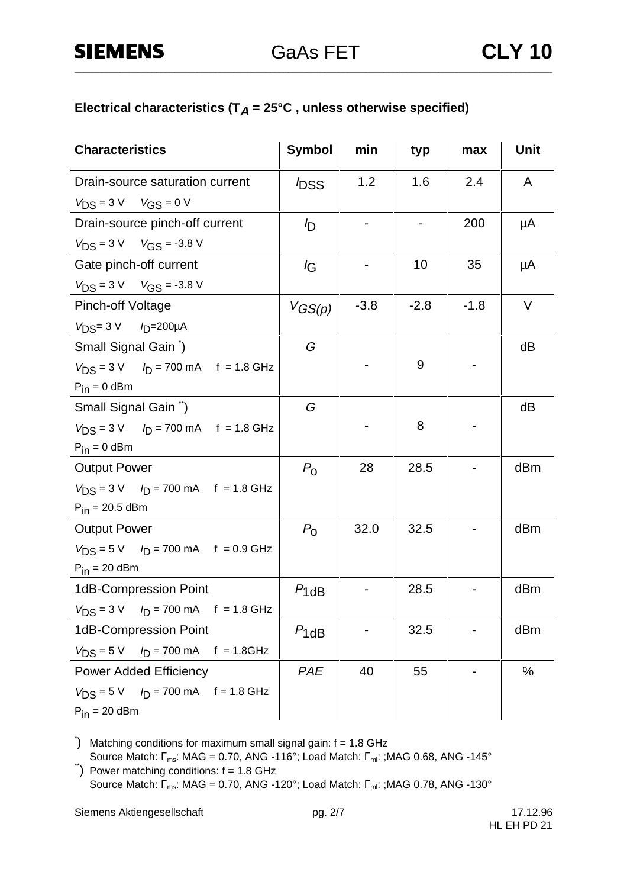### Electrical characteristics ( $T_A = 25^\circ C$ , unless otherwise specified)

| <b>Characteristics</b>                                              | Symbol         | min    | typ    | max    | <b>Unit</b> |
|---------------------------------------------------------------------|----------------|--------|--------|--------|-------------|
| Drain-source saturation current                                     | <b>DSS</b>     | 1.2    | 1.6    | 2.4    | A           |
| $V_{DS} = 3 V$ $V_{GS} = 0 V$                                       |                |        |        |        |             |
| Drain-source pinch-off current                                      | I <sub>D</sub> |        |        | 200    | μA          |
| $V_{DS} = 3 \text{ V}$ $V_{GS} = -3.8 \text{ V}$                    |                |        |        |        |             |
| Gate pinch-off current                                              | lG             |        | 10     | 35     | μA          |
| $V_{DS} = 3 \text{ V}$ $V_{GS} = -3.8 \text{ V}$                    |                |        |        |        |             |
| <b>Pinch-off Voltage</b>                                            | $V_{GS(p)}$    | $-3.8$ | $-2.8$ | $-1.8$ | V           |
| $V_{DS} = 3 \text{ V}$ / <sub>D</sub> =200µA                        |                |        |        |        |             |
| Small Signal Gain )                                                 | G              |        |        |        | dB          |
| $V_{DS} = 3 V$ $I_D = 700 mA$ f = 1.8 GHz                           |                |        | 9      |        |             |
| $P_{in} = 0$ dBm                                                    |                |        |        |        |             |
| Small Signal Gain <sup>"</sup> )                                    | G              |        |        |        | dB          |
| $V_{DS} = 3 V$ $I_D = 700 mA$ f = 1.8 GHz                           |                |        | 8      |        |             |
| $P_{in} = 0$ dBm                                                    |                |        |        |        |             |
| <b>Output Power</b>                                                 | $P_{\rm O}$    | 28     | 28.5   |        | dBm         |
| $V_{DS} = 3 \text{ V}$ $I_D = 700 \text{ mA}$ f = 1.8 GHz           |                |        |        |        |             |
| $P_{in} = 20.5$ dBm                                                 |                |        |        |        |             |
| <b>Output Power</b>                                                 | $P_{\rm O}$    | 32.0   | 32.5   |        | dBm         |
| $V_{DS} = 5 \text{ V}$ $I_D = 700 \text{ mA}$ f = 0.9 GHz           |                |        |        |        |             |
| $P_{in}$ = 20 dBm                                                   |                |        |        |        |             |
| 1dB-Compression Point                                               | $P_{1dB}$      |        | 28.5   |        | dBm         |
| $V_{DS} = 3 \text{ V}$ $I_D = 700 \text{ mA}$ f = 1.8 GHz           |                |        |        |        |             |
| 1dB-Compression Point                                               | $P_{1dB}$      |        | 32.5   |        | dBm         |
| $V_{DS} = 5 V$ $I_D = 700 mA$ f = 1.8GHz                            |                |        |        |        |             |
| <b>Power Added Efficiency</b>                                       | PAE            | 40     | 55     |        | $\%$        |
| $V_{DS} = 5 \text{ V}$ $I_D = 700 \text{ mA}$ $f = 1.8 \text{ GHz}$ |                |        |        |        |             |
| $P_{in}$ = 20 dBm                                                   |                |        |        |        |             |

\* ) Matching conditions for maximum small signal gain: f = 1.8 GHz

Source Match:  $\Gamma_{\text{ms}}$ : MAG = 0.70, ANG -116°; Load Match:  $\Gamma_{\text{mi}}$ : ;MAG 0.68, ANG -145°<br>  $\Gamma$ ) Power matching conditions: f = 1.8 GHz

Source Match:  $\Gamma_{\text{ms}}$ : MAG = 0.70, ANG -120°; Load Match:  $\Gamma_{\text{ml}}$ : ;MAG 0.78, ANG -130°

Siemens Aktiengesellschaft pg. 2/7 pg. 2/7 17.12.96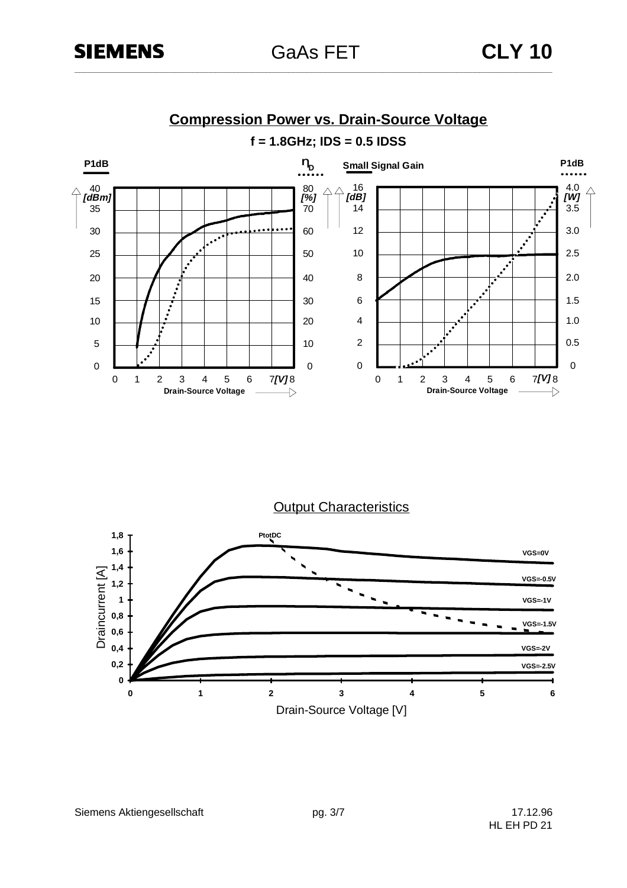

**Compression Power vs. Drain-Source Voltage**

**Output Characteristics** 

![](_page_2_Figure_6.jpeg)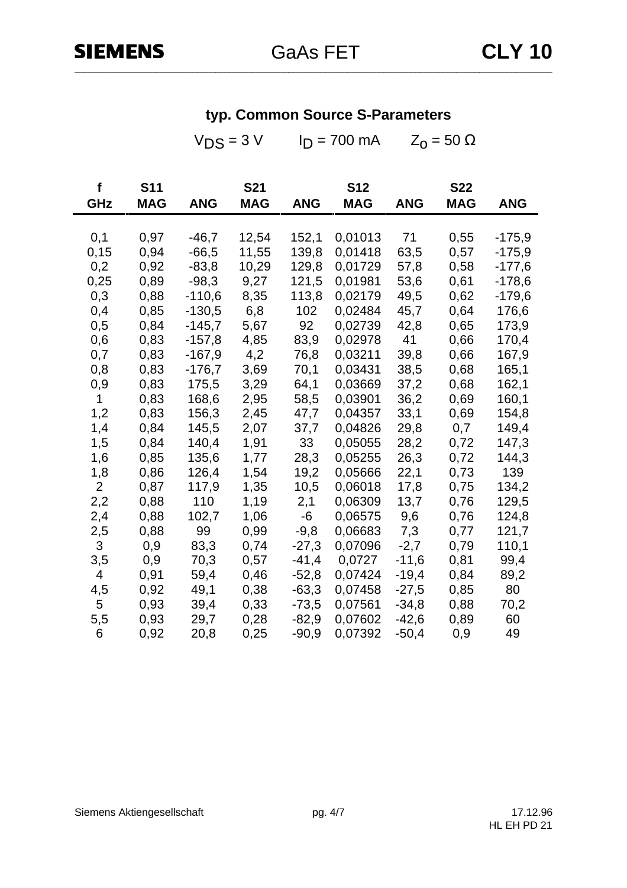$V_{DS} = 3 V$   $I_D = 700$  mA  $Z_0 = 50$  Ω

| f              | <b>S11</b> |            | <b>S21</b> |            | <b>S12</b> |            | <b>S22</b> |            |
|----------------|------------|------------|------------|------------|------------|------------|------------|------------|
| <b>GHz</b>     | <b>MAG</b> | <b>ANG</b> | <b>MAG</b> | <b>ANG</b> | <b>MAG</b> | <b>ANG</b> | <b>MAG</b> | <b>ANG</b> |
|                |            |            |            |            |            |            |            |            |
| 0,1            | 0,97       | $-46,7$    | 12,54      | 152,1      | 0,01013    | 71         | 0,55       | $-175,9$   |
| 0, 15          | 0,94       | $-66,5$    | 11,55      | 139,8      | 0,01418    | 63,5       | 0,57       | $-175,9$   |
| 0,2            | 0,92       | $-83,8$    | 10,29      | 129,8      | 0,01729    | 57,8       | 0,58       | $-177,6$   |
| 0,25           | 0,89       | $-98,3$    | 9,27       | 121,5      | 0,01981    | 53,6       | 0,61       | $-178,6$   |
| 0,3            | 0,88       | $-110,6$   | 8,35       | 113,8      | 0,02179    | 49,5       | 0,62       | $-179,6$   |
| 0,4            | 0,85       | $-130,5$   | 6,8        | 102        | 0,02484    | 45,7       | 0,64       | 176,6      |
| 0,5            | 0,84       | $-145,7$   | 5,67       | 92         | 0,02739    | 42,8       | 0,65       | 173,9      |
| 0,6            | 0,83       | $-157,8$   | 4,85       | 83,9       | 0,02978    | 41         | 0,66       | 170,4      |
| 0,7            | 0,83       | $-167,9$   | 4,2        | 76,8       | 0,03211    | 39,8       | 0,66       | 167,9      |
| 0,8            | 0,83       | $-176,7$   | 3,69       | 70,1       | 0,03431    | 38,5       | 0,68       | 165,1      |
| 0,9            | 0,83       | 175,5      | 3,29       | 64,1       | 0,03669    | 37,2       | 0,68       | 162,1      |
| 1              | 0,83       | 168,6      | 2,95       | 58,5       | 0,03901    | 36,2       | 0,69       | 160,1      |
| 1,2            | 0,83       | 156,3      | 2,45       | 47,7       | 0,04357    | 33,1       | 0,69       | 154,8      |
| 1,4            | 0,84       | 145,5      | 2,07       | 37,7       | 0,04826    | 29,8       | 0,7        | 149,4      |
| 1,5            | 0,84       | 140,4      | 1,91       | 33         | 0,05055    | 28,2       | 0,72       | 147,3      |
| 1,6            | 0,85       | 135,6      | 1,77       | 28,3       | 0,05255    | 26,3       | 0,72       | 144,3      |
| 1,8            | 0,86       | 126,4      | 1,54       | 19,2       | 0,05666    | 22,1       | 0,73       | 139        |
| $\overline{2}$ | 0,87       | 117,9      | 1,35       | 10,5       | 0,06018    | 17,8       | 0,75       | 134,2      |
| 2,2            | 0,88       | 110        | 1,19       | 2,1        | 0,06309    | 13,7       | 0,76       | 129,5      |
| 2,4            | 0,88       | 102,7      | 1,06       | -6         | 0,06575    | 9,6        | 0,76       | 124,8      |
| 2,5            | 0,88       | 99         | 0,99       | $-9,8$     | 0,06683    | 7,3        | 0,77       | 121,7      |
| 3              | 0,9        | 83,3       | 0,74       | $-27,3$    | 0,07096    | $-2,7$     | 0,79       | 110,1      |
| 3,5            | 0,9        | 70,3       | 0,57       | $-41,4$    | 0,0727     | $-11,6$    | 0,81       | 99,4       |
| 4              | 0,91       | 59,4       | 0,46       | $-52,8$    | 0,07424    | $-19,4$    | 0,84       | 89,2       |
| 4,5            | 0,92       | 49,1       | 0,38       | $-63,3$    | 0,07458    | $-27,5$    | 0,85       | 80         |
| 5              | 0,93       | 39,4       | 0,33       | $-73,5$    | 0,07561    | $-34,8$    | 0,88       | 70,2       |
| 5,5            | 0,93       | 29,7       | 0,28       | $-82,9$    | 0,07602    | $-42,6$    | 0,89       | 60         |
| 6              | 0,92       | 20,8       | 0,25       | $-90,9$    | 0,07392    | $-50,4$    | 0,9        | 49         |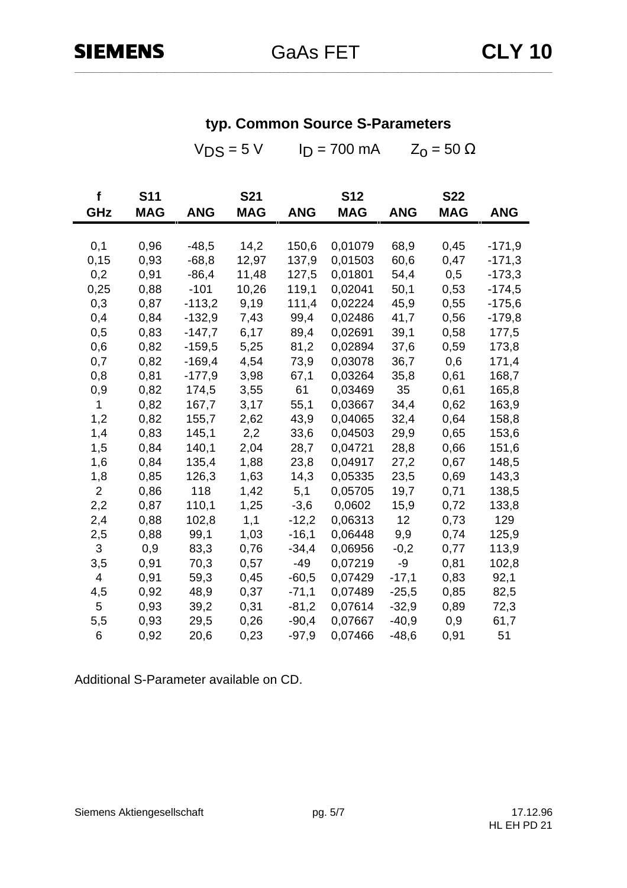|                          |                                                                                                     |                                                                                                                      | $I_D = 700$ mA<br>$Z_0 = 50 \Omega$                                                                                              |                                                                                                                            |                                                                                                                       |                                                                                                              |                                                                                                            |
|--------------------------|-----------------------------------------------------------------------------------------------------|----------------------------------------------------------------------------------------------------------------------|----------------------------------------------------------------------------------------------------------------------------------|----------------------------------------------------------------------------------------------------------------------------|-----------------------------------------------------------------------------------------------------------------------|--------------------------------------------------------------------------------------------------------------|------------------------------------------------------------------------------------------------------------|
| <b>S11</b><br><b>MAG</b> | <b>ANG</b>                                                                                          | <b>S21</b><br><b>MAG</b>                                                                                             | <b>ANG</b>                                                                                                                       | <b>S12</b><br><b>MAG</b>                                                                                                   | <b>ANG</b>                                                                                                            | <b>S22</b><br><b>MAG</b>                                                                                     | <b>ANG</b>                                                                                                 |
|                          |                                                                                                     |                                                                                                                      |                                                                                                                                  |                                                                                                                            |                                                                                                                       |                                                                                                              |                                                                                                            |
|                          |                                                                                                     |                                                                                                                      |                                                                                                                                  |                                                                                                                            |                                                                                                                       |                                                                                                              | $-171,9$                                                                                                   |
|                          |                                                                                                     |                                                                                                                      |                                                                                                                                  |                                                                                                                            |                                                                                                                       |                                                                                                              | $-171,3$                                                                                                   |
|                          |                                                                                                     |                                                                                                                      |                                                                                                                                  |                                                                                                                            |                                                                                                                       |                                                                                                              | $-173,3$                                                                                                   |
|                          |                                                                                                     |                                                                                                                      |                                                                                                                                  |                                                                                                                            |                                                                                                                       |                                                                                                              | $-174,5$                                                                                                   |
|                          |                                                                                                     |                                                                                                                      |                                                                                                                                  |                                                                                                                            |                                                                                                                       |                                                                                                              | $-175,6$                                                                                                   |
| 0,84                     | $-132,9$                                                                                            | 7,43                                                                                                                 | 99,4                                                                                                                             | 0,02486                                                                                                                    |                                                                                                                       | 0,56                                                                                                         | $-179,8$                                                                                                   |
| 0,83                     | $-147,7$                                                                                            | 6,17                                                                                                                 | 89,4                                                                                                                             | 0,02691                                                                                                                    | 39,1                                                                                                                  | 0,58                                                                                                         | 177,5                                                                                                      |
| 0,82                     | $-159,5$                                                                                            | 5,25                                                                                                                 | 81,2                                                                                                                             | 0,02894                                                                                                                    | 37,6                                                                                                                  | 0,59                                                                                                         | 173,8                                                                                                      |
| 0,82                     | $-169,4$                                                                                            | 4,54                                                                                                                 | 73,9                                                                                                                             | 0,03078                                                                                                                    | 36,7                                                                                                                  | 0,6                                                                                                          | 171,4                                                                                                      |
| 0,81                     | $-177,9$                                                                                            | 3,98                                                                                                                 | 67,1                                                                                                                             | 0,03264                                                                                                                    | 35,8                                                                                                                  | 0,61                                                                                                         | 168,7                                                                                                      |
| 0,82                     | 174,5                                                                                               | 3,55                                                                                                                 | 61                                                                                                                               | 0,03469                                                                                                                    | 35                                                                                                                    | 0,61                                                                                                         | 165,8                                                                                                      |
| 0,82                     | 167,7                                                                                               | 3,17                                                                                                                 | 55,1                                                                                                                             | 0,03667                                                                                                                    | 34,4                                                                                                                  | 0,62                                                                                                         | 163,9                                                                                                      |
| 0,82                     | 155,7                                                                                               | 2,62                                                                                                                 | 43,9                                                                                                                             | 0,04065                                                                                                                    | 32,4                                                                                                                  | 0,64                                                                                                         | 158,8                                                                                                      |
| 0,83                     | 145,1                                                                                               | 2,2                                                                                                                  | 33,6                                                                                                                             | 0,04503                                                                                                                    | 29,9                                                                                                                  | 0,65                                                                                                         | 153,6                                                                                                      |
| 0,84                     | 140,1                                                                                               | 2,04                                                                                                                 | 28,7                                                                                                                             | 0,04721                                                                                                                    | 28,8                                                                                                                  | 0,66                                                                                                         | 151,6                                                                                                      |
| 0,84                     | 135,4                                                                                               | 1,88                                                                                                                 | 23,8                                                                                                                             | 0,04917                                                                                                                    | 27,2                                                                                                                  | 0,67                                                                                                         | 148,5                                                                                                      |
| 0,85                     | 126,3                                                                                               | 1,63                                                                                                                 | 14,3                                                                                                                             | 0,05335                                                                                                                    | 23,5                                                                                                                  | 0,69                                                                                                         | 143,3                                                                                                      |
|                          | 118                                                                                                 |                                                                                                                      |                                                                                                                                  | 0,05705                                                                                                                    | 19,7                                                                                                                  |                                                                                                              | 138,5                                                                                                      |
|                          | 110,1                                                                                               | 1,25                                                                                                                 |                                                                                                                                  | 0,0602                                                                                                                     |                                                                                                                       | 0,72                                                                                                         | 133,8                                                                                                      |
|                          |                                                                                                     |                                                                                                                      |                                                                                                                                  |                                                                                                                            | 12                                                                                                                    |                                                                                                              | 129                                                                                                        |
|                          |                                                                                                     |                                                                                                                      |                                                                                                                                  |                                                                                                                            |                                                                                                                       |                                                                                                              | 125,9                                                                                                      |
|                          |                                                                                                     |                                                                                                                      |                                                                                                                                  |                                                                                                                            |                                                                                                                       |                                                                                                              | 113,9                                                                                                      |
|                          |                                                                                                     |                                                                                                                      |                                                                                                                                  |                                                                                                                            |                                                                                                                       |                                                                                                              | 102,8                                                                                                      |
| 0,91                     |                                                                                                     |                                                                                                                      | $-60,5$                                                                                                                          | 0,07429                                                                                                                    | $-17,1$                                                                                                               |                                                                                                              | 92,1                                                                                                       |
| 0,92                     |                                                                                                     |                                                                                                                      | $-71,1$                                                                                                                          | 0,07489                                                                                                                    |                                                                                                                       |                                                                                                              | 82,5                                                                                                       |
|                          |                                                                                                     |                                                                                                                      |                                                                                                                                  |                                                                                                                            |                                                                                                                       |                                                                                                              | 72,3                                                                                                       |
|                          |                                                                                                     |                                                                                                                      |                                                                                                                                  |                                                                                                                            |                                                                                                                       |                                                                                                              | 61,7                                                                                                       |
| 0,92                     | 20,6                                                                                                | 0,23                                                                                                                 | $-97,9$                                                                                                                          | 0,07466                                                                                                                    | $-48,6$                                                                                                               | 0,91                                                                                                         | 51                                                                                                         |
|                          | 0,96<br>0,93<br>0,91<br>0,88<br>0,87<br>0,86<br>0,87<br>0,88<br>0,88<br>0,9<br>0,91<br>0,93<br>0,93 | $-48,5$<br>$-68,8$<br>$-86,4$<br>$-101$<br>$-113,2$<br>102,8<br>99,1<br>83,3<br>70,3<br>59,3<br>48,9<br>39,2<br>29,5 | $V_{DS} = 5 V$<br>14,2<br>12,97<br>11,48<br>10,26<br>9,19<br>1,42<br>1,1<br>1,03<br>0,76<br>0,57<br>0,45<br>0,37<br>0,31<br>0,26 | 150,6<br>137,9<br>127,5<br>119,1<br>111,4<br>5,1<br>$-3,6$<br>$-12,2$<br>$-16,1$<br>$-34,4$<br>$-49$<br>$-81,2$<br>$-90,4$ | 0,01079<br>0,01503<br>0,01801<br>0,02041<br>0,02224<br>0,06313<br>0,06448<br>0,06956<br>0,07219<br>0,07614<br>0,07667 | 68,9<br>60,6<br>54,4<br>50,1<br>45,9<br>41,7<br>15,9<br>9,9<br>$-0,2$<br>-9<br>$-25,5$<br>$-32,9$<br>$-40,9$ | 0,45<br>0,47<br>0,5<br>0,53<br>0,55<br>0,71<br>0,73<br>0,74<br>0,77<br>0,81<br>0,83<br>0,85<br>0,89<br>0,9 |

**typ. Common Source S-Parameters**

Additional S-Parameter available on CD.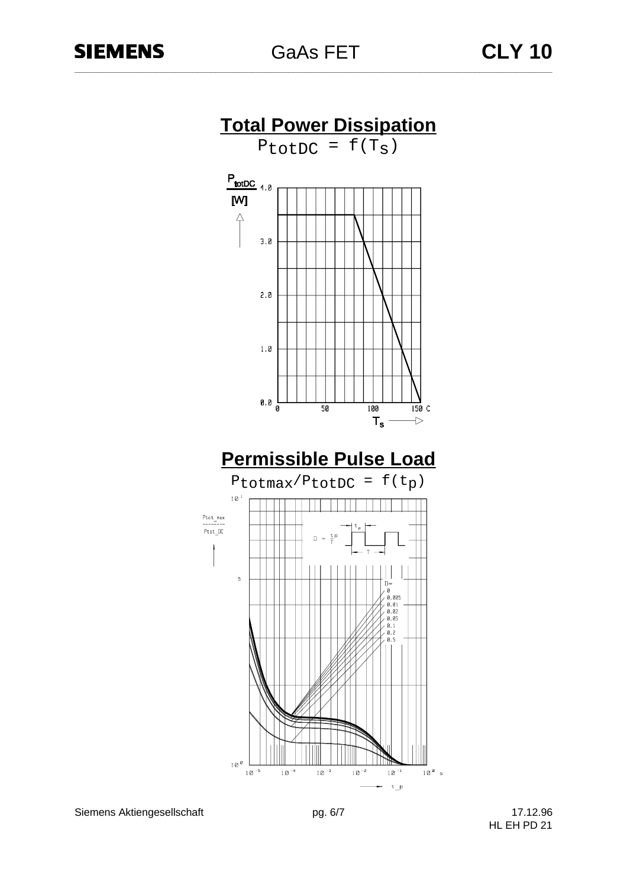![](_page_5_Figure_3.jpeg)

Siemens Aktiengesellschaft pg. 6/7 pg. 6/7 17.12.96

HL EH PD 21